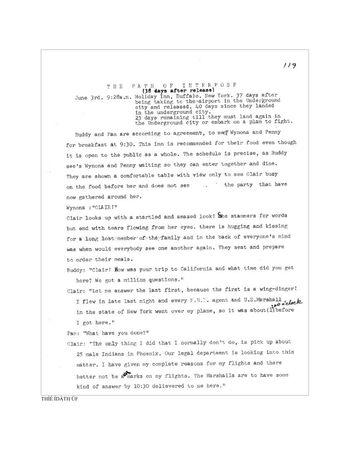OF INTERPOSE THE PATH THE PATH OF INTERPOSE<br>
(38 days after release)<br>
June 3rd. 9:28a.m. Holiday Inn, Buffalo. New York. 37 days after<br>
being taking to the airport in the Underground<br>
city and released. 40 days since they landed<br>
in the undergr

Buddy and Pam are according to agreement, to med Wynona and Penny for breakfast at 9:30. This Inn is recommended for their food even though it is open to the public as a whole. The schedule is precise, as Buddy see's Wynona and Penny waiting so they can enter together and dine. They are shown a comfortable table with view only to see Clair busy on the food before her and does not see ... . the party that have now gathered around her.

Wynona : "CIAIRI"

Clair looks up with a startled and amazed look! She stammers for words but end with tears flowing from her eyes. there is hugging and kissing for a long lost member of the family and in the back of everyone's mind was when would everybody see one another again. They seat and prepare to order their meals.

Buddy: "Clair! How was your trip to California and what time did you get here? We got a million questions."

Clair: "Let me answer the last first, because the first is a wing-dinger!

I flew in late last night and every F.B.T. agent and U.S.Marshall took in the state of New York went over my plane, so it was about (1) before I got here."

Pam: "What have you done?"

Clair: "The only thing I did that I normally don't do, is pick up about 25 male Indians in Phoenix. Our legal department is looking into this matter. I have given my complete reasons for my flights and there better not be a marks on my flights. The Marshalls are to have some kind of answer by 10:30 delievered to me here."

THÍÉ ÍDÀTH ÜF

 $119$